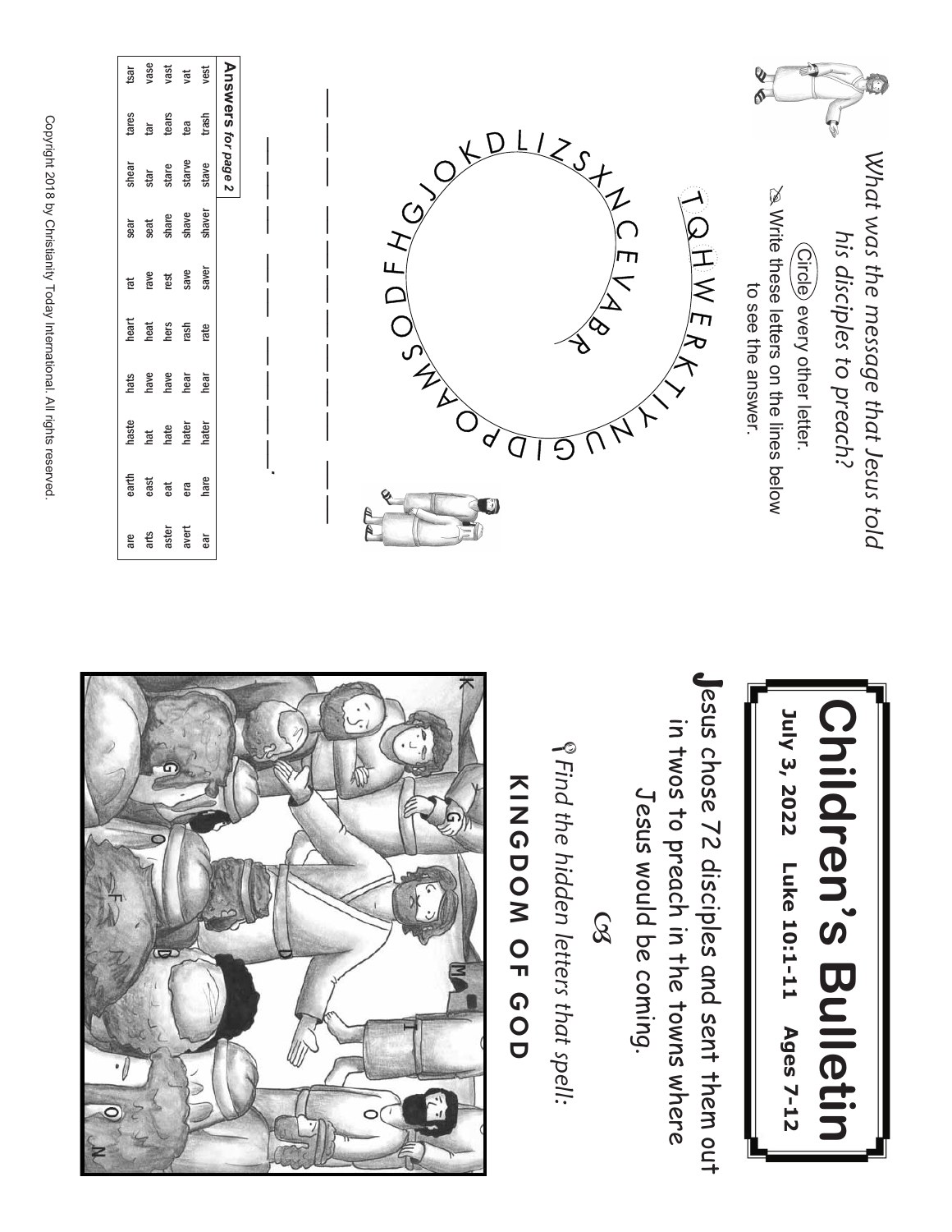



Jesus chose 72 disciples and sent them out esus chose 72 disciples and sent them out in twos to preach in the towns where in twos to preach in the towns where Jesus would be coming. Jesus would be coming.

 $\infty$ 

*S* Find the hidden letters that spell: *Find the hidden letters that spell:*

## **KINGDOM** O<br>π の<br>O<br>O



Copyright 2018 হ **Christianity** Today International. ≧ rights reserved.